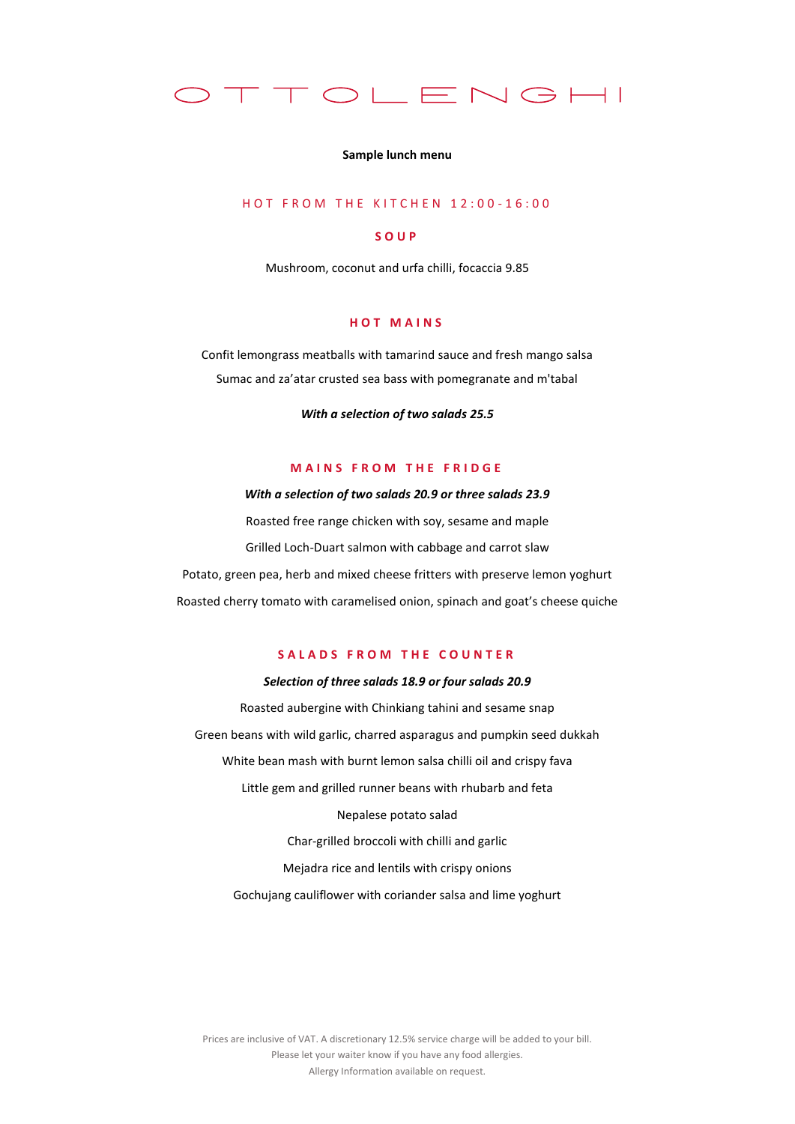

#### **Sample lunch menu**

# H O T F R O M T H E K I T C H E N 12:00 - 16:00

## **S O U P**

Mushroom, coconut and urfa chilli, focaccia 9.85

### **H O T M A I N S**

Confit lemongrass meatballs with tamarind sauce and fresh mango salsa Sumac and za'atar crusted sea bass with pomegranate and m'tabal

*With a selection of two salads 25.5*

# **MAINS FROM THE FRIDGE**

*With a selection of two salads 20.9 or three salads 23.9* Roasted free range chicken with soy, sesame and maple Grilled Loch-Duart salmon with cabbage and carrot slaw Potato, green pea, herb and mixed cheese fritters with preserve lemon yoghurt Roasted cherry tomato with caramelised onion, spinach and goat's cheese quiche

# **S A L A D S F R O M T H E C O U N T E R**

#### *Selection of three salads 18.9 or four salads 20.9*

Roasted aubergine with Chinkiang tahini and sesame snap Green beans with wild garlic, charred asparagus and pumpkin seed dukkah White bean mash with burnt lemon salsa chilli oil and crispy fava Little gem and grilled runner beans with rhubarb and feta Nepalese potato salad Char-grilled broccoli with chilli and garlic Mejadra rice and lentils with crispy onions

Gochujang cauliflower with coriander salsa and lime yoghurt

Prices are inclusive of VAT. A discretionary 12.5% service charge will be added to your bill. Please let your waiter know if you have any food allergies. Allergy Information available on request.